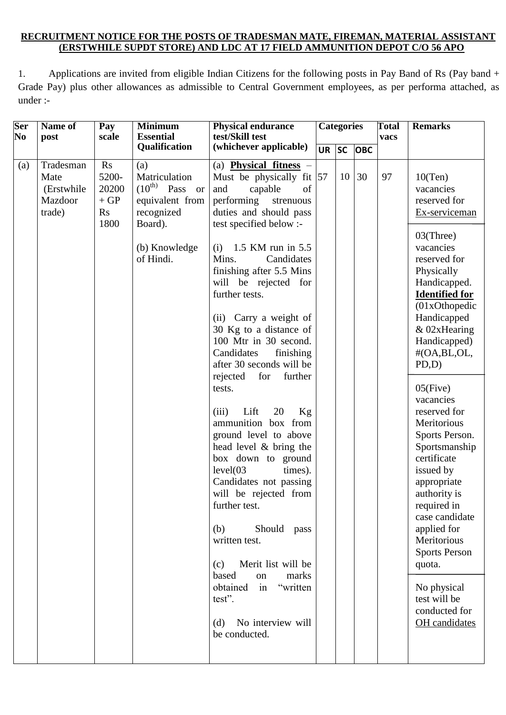### **RECRUITMENT NOTICE FOR THE POSTS OF TRADESMAN MATE, FIREMAN, MATERIAL ASSISTANT (ERSTWHILE SUPDT STORE) AND LDC AT 17 FIELD AMMUNITION DEPOT C/O 56 APO**

1. Applications are invited from eligible Indian Citizens for the following posts in Pay Band of Rs (Pay band + Grade Pay) plus other allowances as admissible to Central Government employees, as per performa attached, as under :-

| <b>Ser</b><br>N <sub>0</sub> | Name of<br>post                                      | Pay<br>scale                                       | <b>Minimum</b><br><b>Essential</b>                                                                                    | <b>Physical endurance</b><br>test/Skill test                                                                                                                                                                                                                                                                                                                                                                                                                                                                                                                                                                                                                                                                                                                                                                                                                                           |           | <b>Categories</b> |            | <b>Total</b><br>vacs | <b>Remarks</b>                                                                                                                                                                                                                                                                                                                                                                                                                                                                                                                                                            |
|------------------------------|------------------------------------------------------|----------------------------------------------------|-----------------------------------------------------------------------------------------------------------------------|----------------------------------------------------------------------------------------------------------------------------------------------------------------------------------------------------------------------------------------------------------------------------------------------------------------------------------------------------------------------------------------------------------------------------------------------------------------------------------------------------------------------------------------------------------------------------------------------------------------------------------------------------------------------------------------------------------------------------------------------------------------------------------------------------------------------------------------------------------------------------------------|-----------|-------------------|------------|----------------------|---------------------------------------------------------------------------------------------------------------------------------------------------------------------------------------------------------------------------------------------------------------------------------------------------------------------------------------------------------------------------------------------------------------------------------------------------------------------------------------------------------------------------------------------------------------------------|
|                              |                                                      |                                                    | Qualification                                                                                                         | (whichever applicable)                                                                                                                                                                                                                                                                                                                                                                                                                                                                                                                                                                                                                                                                                                                                                                                                                                                                 | <b>UR</b> | <b>SC</b>         | <b>OBC</b> |                      |                                                                                                                                                                                                                                                                                                                                                                                                                                                                                                                                                                           |
| (a)                          | Tradesman<br>Mate<br>(Erstwhile<br>Mazdoor<br>trade) | Rs<br>5200-<br>20200<br>$+GP$<br><b>Rs</b><br>1800 | (a)<br>Matriculation<br>$(10^{th)}$ Pass or<br>equivalent from<br>recognized<br>Board).<br>(b) Knowledge<br>of Hindi. | (a) <b>Physical fitness</b> $-$<br>Must be physically fit $ 57 $<br>of<br>and<br>capable<br>performing<br>strenuous<br>duties and should pass<br>test specified below :-<br>(i) $1.5$ KM run in 5.5<br>Mins.<br>Candidates<br>finishing after 5.5 Mins<br>will be rejected for<br>further tests.<br>(ii) Carry a weight of<br>30 Kg to a distance of<br>100 Mtr in 30 second.<br>Candidates<br>finishing<br>after 30 seconds will be<br>rejected<br>for<br>further<br>tests.<br>20<br>Kg<br>(iii)<br>Lift<br>ammunition box from<br>ground level to above<br>head level & bring the<br>box down to ground<br>level(03)<br>times).<br>Candidates not passing<br>will be rejected from<br>further test.<br>Should pass<br>(b)<br>written test.<br>Merit list will be<br>(c)<br>based<br>marks<br>on<br>"written<br>obtained<br>in<br>test".<br>No interview will<br>(d)<br>be conducted. |           | 10                | 30         | 97                   | 10(Ten)<br>vacancies<br>reserved for<br>Ex-serviceman<br>03(Three)<br>vacancies<br>reserved for<br>Physically<br>Handicapped.<br><b>Identified for</b><br>(01xOthopedic<br>Handicapped<br>& 02xHearing<br>Handicapped)<br>#(OA,BL,OL,<br>PD,D)<br>$05$ (Five)<br>vacancies<br>reserved for<br>Meritorious<br>Sports Person.<br>Sportsmanship<br>certificate<br>issued by<br>appropriate<br>authority is<br>required in<br>case candidate<br>applied for<br>Meritorious<br><b>Sports Person</b><br>quota.<br>No physical<br>test will be<br>conducted for<br>OH candidates |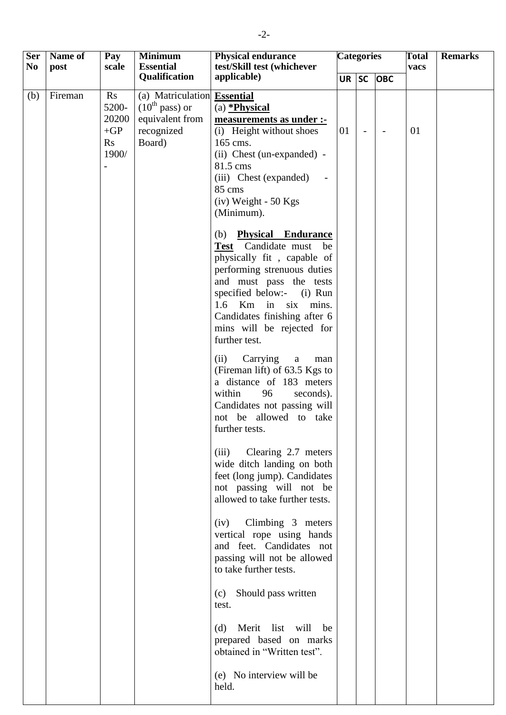| <b>Ser</b><br>N <sub>0</sub> | Name of<br>post | Pay<br>scale                                                     | <b>Minimum</b><br><b>Essential</b>                                                            | <b>Physical endurance</b>                                                                                                                                                                                                                                                               | <b>Categories</b><br>test/Skill test (whichever |                |                          | <b>Total</b><br>vacs | <b>Remarks</b> |
|------------------------------|-----------------|------------------------------------------------------------------|-----------------------------------------------------------------------------------------------|-----------------------------------------------------------------------------------------------------------------------------------------------------------------------------------------------------------------------------------------------------------------------------------------|-------------------------------------------------|----------------|--------------------------|----------------------|----------------|
|                              |                 |                                                                  | Qualification                                                                                 | applicable)                                                                                                                                                                                                                                                                             | $UR$ SC                                         |                | <b>OBC</b>               |                      |                |
| (b)                          | Fireman         | Rs<br>5200-<br>20200<br>$+GP$<br>$\mathbf{R}\mathbf{s}$<br>1900/ | (a) Matriculation Essential<br>$(10^{th}$ pass) or<br>equivalent from<br>recognized<br>Board) | $(a)$ *Physical<br>measurements as under :-<br>(i) Height without shoes<br>165 cms.<br>(ii) Chest (un-expanded) -<br>81.5 cms<br>(iii) Chest (expanded)<br>85 cms<br>$(iv)$ Weight - 50 Kgs<br>(Minimum).                                                                               | 01                                              | $\blacksquare$ | $\overline{\phantom{a}}$ | 01                   |                |
|                              |                 |                                                                  |                                                                                               | <b>Physical Endurance</b><br>(b)<br>Test Candidate must<br>be<br>physically fit, capable of<br>performing strenuous duties<br>and must pass the tests<br>specified below:- (i) Run<br>1.6 Km in six mins.<br>Candidates finishing after 6<br>mins will be rejected for<br>further test. |                                                 |                |                          |                      |                |
|                              |                 |                                                                  |                                                                                               | Carrying<br>(ii)<br>$\mathbf{a}$<br>man<br>(Fireman lift) of 63.5 Kgs to<br>a distance of 183 meters<br>within<br>96<br>seconds).<br>Candidates not passing will<br>not be allowed to take<br>further tests.                                                                            |                                                 |                |                          |                      |                |
|                              |                 |                                                                  |                                                                                               | (iii) Clearing 2.7 meters<br>wide ditch landing on both<br>feet (long jump). Candidates<br>not passing will not be<br>allowed to take further tests.                                                                                                                                    |                                                 |                |                          |                      |                |
|                              |                 |                                                                  |                                                                                               | (iv) Climbing 3 meters<br>vertical rope using hands<br>and feet. Candidates not<br>passing will not be allowed<br>to take further tests.                                                                                                                                                |                                                 |                |                          |                      |                |
|                              |                 |                                                                  |                                                                                               | Should pass written<br>(c)<br>test.                                                                                                                                                                                                                                                     |                                                 |                |                          |                      |                |
|                              |                 |                                                                  |                                                                                               | Merit list will<br>be<br>(d)<br>prepared based on marks<br>obtained in "Written test".                                                                                                                                                                                                  |                                                 |                |                          |                      |                |
|                              |                 |                                                                  |                                                                                               | (e) No interview will be<br>held.                                                                                                                                                                                                                                                       |                                                 |                |                          |                      |                |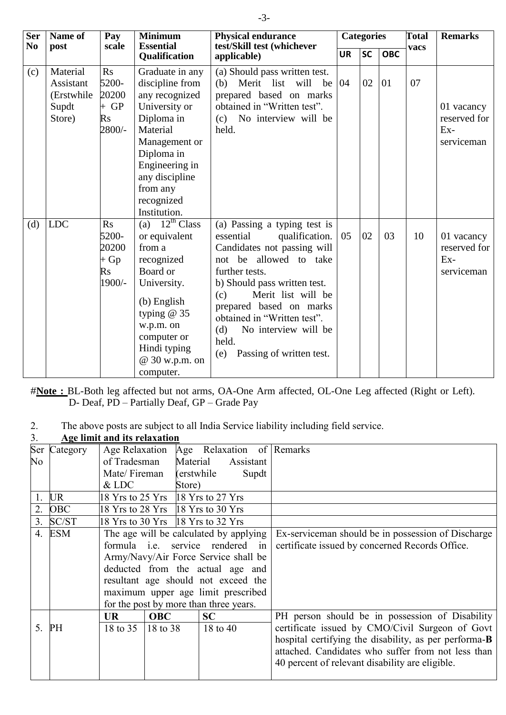| <b>Ser</b>     | Name of                                                | Pay                                                                    | <b>Minimum</b>                                                                                                                                                                                               | <b>Physical endurance</b>                                                                                                                                                                                                                                                                                                                |           | <b>Categories</b> |            | <b>Total</b> | <b>Remarks</b>                                    |
|----------------|--------------------------------------------------------|------------------------------------------------------------------------|--------------------------------------------------------------------------------------------------------------------------------------------------------------------------------------------------------------|------------------------------------------------------------------------------------------------------------------------------------------------------------------------------------------------------------------------------------------------------------------------------------------------------------------------------------------|-----------|-------------------|------------|--------------|---------------------------------------------------|
| N <sub>0</sub> | post                                                   | scale                                                                  | <b>Essential</b><br>Qualification                                                                                                                                                                            | test/Skill test (whichever<br>applicable)                                                                                                                                                                                                                                                                                                | <b>UR</b> | SC                | <b>OBC</b> | vacs         |                                                   |
| (c)            | Material<br>Assistant<br>(Erstwhile<br>Supdt<br>Store) | Rs<br>5200-<br>20200<br>$+GP$<br>$\mathbf{R}$ s<br>2800/-              | Graduate in any<br>discipline from<br>any recognized<br>University or<br>Diploma in<br>Material<br>Management or<br>Diploma in<br>Engineering in<br>any discipline<br>from any<br>recognized<br>Institution. | (a) Should pass written test.<br>(b) Merit list will<br>be $ 04$<br>prepared based on marks<br>obtained in "Written test".<br>(c) No interview will be<br>held.                                                                                                                                                                          |           | 02                | 01         | 07           | 01 vacancy<br>reserved for<br>$Ex-$<br>serviceman |
| (d)            | <b>LDC</b>                                             | R <sub>S</sub><br>5200-<br>20200<br>$+$ Gp<br>$\mathbf{R}$ s<br>1900/- | (a) $12^{th}$ Class<br>or equivalent<br>from a<br>recognized<br>Board or<br>University.<br>$(b)$ English<br>typing $@35$<br>w.p.m. on<br>computer or<br>Hindi typing<br>@ 30 w.p.m. on<br>computer.          | (a) Passing a typing test is<br>essential<br>qualification.<br>Candidates not passing will<br>not be allowed to take<br>further tests.<br>b) Should pass written test.<br>Merit list will be<br>(c)<br>prepared based on marks<br>obtained in "Written test".<br>No interview will be<br>(d)<br>held.<br>Passing of written test.<br>(e) | 05        | 02                | 03         | 10           | 01 vacancy<br>reserved for<br>$Ex-$<br>serviceman |

#Note : BL-Both leg affected but not arms, OA-One Arm affected, OL-One Leg affected (Right or Left). D- Deaf, PD – Partially Deaf, GP – Grade Pay

2. The above posts are subject to all India Service liability including field service.

| 3.             |            | Age limit and its relaxation               |                                        |                                        |       |                                                       |
|----------------|------------|--------------------------------------------|----------------------------------------|----------------------------------------|-------|-------------------------------------------------------|
| Ser            | Category   | Age Relaxation                             |                                        | Age Relaxation of Remarks              |       |                                                       |
| No             |            | of Tradesman                               |                                        | Material<br>Assistant                  |       |                                                       |
|                |            | Mate/Fireman                               |                                        | (erstwhile)                            | Supdt |                                                       |
|                |            | $&$ LDC                                    | Store)                                 |                                        |       |                                                       |
| 1.             | <b>UR</b>  |                                            | 18 Yrs to 25 Yrs 18 Yrs to 27 Yrs      |                                        |       |                                                       |
| 2.             | <b>OBC</b> |                                            | 18 Yrs to 28 Yrs $\,$ 18 Yrs to 30 Yrs |                                        |       |                                                       |
| 3 <sub>1</sub> | SC/ST      |                                            | 18 Yrs to 30 Yrs 18 Yrs to 32 Yrs      |                                        |       |                                                       |
| 4.             | ESM        | The age will be calculated by applying     |                                        |                                        |       | Ex-serviceman should be in possession of Discharge    |
|                |            | formula <i>i.e.</i> service rendered<br>in |                                        |                                        |       | certificate issued by concerned Records Office.       |
|                |            | Army/Navy/Air Force Service shall be       |                                        |                                        |       |                                                       |
|                |            | deducted from the actual age and           |                                        |                                        |       |                                                       |
|                |            | resultant age should not exceed the        |                                        |                                        |       |                                                       |
|                |            |                                            |                                        | maximum upper age limit prescribed     |       |                                                       |
|                |            |                                            |                                        | for the post by more than three years. |       |                                                       |
|                |            | <b>UR</b>                                  | <b>OBC</b>                             | <b>SC</b>                              |       | PH person should be in possession of Disability       |
| 5 <sub>1</sub> | PH         | 18 to 35                                   | 18 to 38                               | 18 to 40                               |       | certificate issued by CMO/Civil Surgeon of Govt       |
|                |            |                                            |                                        |                                        |       | hospital certifying the disability, as per performa-B |
|                |            |                                            |                                        |                                        |       | attached. Candidates who suffer from not less than    |
|                |            |                                            |                                        |                                        |       | 40 percent of relevant disability are eligible.       |
|                |            |                                            |                                        |                                        |       |                                                       |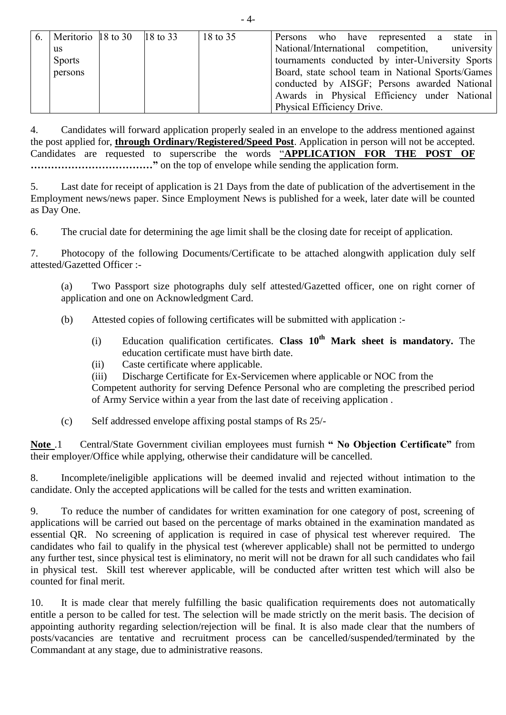| 6.   Meritorio   18 to 30   18 to 33 |  | 18 to 35 | Persons who have represented a state in           |
|--------------------------------------|--|----------|---------------------------------------------------|
| us                                   |  |          | National/International competition, university    |
| <b>Sports</b>                        |  |          | tournaments conducted by inter-University Sports  |
| persons                              |  |          | Board, state school team in National Sports/Games |
|                                      |  |          | conducted by AISGF; Persons awarded National      |
|                                      |  |          | Awards in Physical Efficiency under National      |
|                                      |  |          | Physical Efficiency Drive.                        |

4. Candidates will forward application properly sealed in an envelope to the address mentioned against the post applied for, **through Ordinary/Registered/Speed Post**. Application in person will not be accepted. Candidates are requested to superscribe the words "**APPLICATION FOR THE POST OF ……………………………**" on the top of envelope while sending the application form.

5. Last date for receipt of application is 21 Days from the date of publication of the advertisement in the Employment news/news paper. Since Employment News is published for a week, later date will be counted as Day One.

6. The crucial date for determining the age limit shall be the closing date for receipt of application.

7. Photocopy of the following Documents/Certificate to be attached alongwith application duly self attested/Gazetted Officer :-

(a) Two Passport size photographs duly self attested/Gazetted officer, one on right corner of application and one on Acknowledgment Card.

- (b) Attested copies of following certificates will be submitted with application :-
	- (i) Education qualification certificates. **Class 10th Mark sheet is mandatory.** The education certificate must have birth date.
	- (ii) Caste certificate where applicable.
	- (iii) Discharge Certificate for Ex-Servicemen where applicable or NOC from the

Competent authority for serving Defence Personal who are completing the prescribed period of Army Service within a year from the last date of receiving application .

(c) Self addressed envelope affixing postal stamps of Rs 25/-

**Note** .1 Central/State Government civilian employees must furnish **" No Objection Certificate"** from their employer/Office while applying, otherwise their candidature will be cancelled.

8. Incomplete/ineligible applications will be deemed invalid and rejected without intimation to the candidate. Only the accepted applications will be called for the tests and written examination.

9. To reduce the number of candidates for written examination for one category of post, screening of applications will be carried out based on the percentage of marks obtained in the examination mandated as essential QR. No screening of application is required in case of physical test wherever required. The candidates who fail to qualify in the physical test (wherever applicable) shall not be permitted to undergo any further test, since physical test is eliminatory, no merit will not be drawn for all such candidates who fail in physical test. Skill test wherever applicable, will be conducted after written test which will also be counted for final merit.

10. It is made clear that merely fulfilling the basic qualification requirements does not automatically entitle a person to be called for test. The selection will be made strictly on the merit basis. The decision of appointing authority regarding selection/rejection will be final. It is also made clear that the numbers of posts/vacancies are tentative and recruitment process can be cancelled/suspended/terminated by the Commandant at any stage, due to administrative reasons.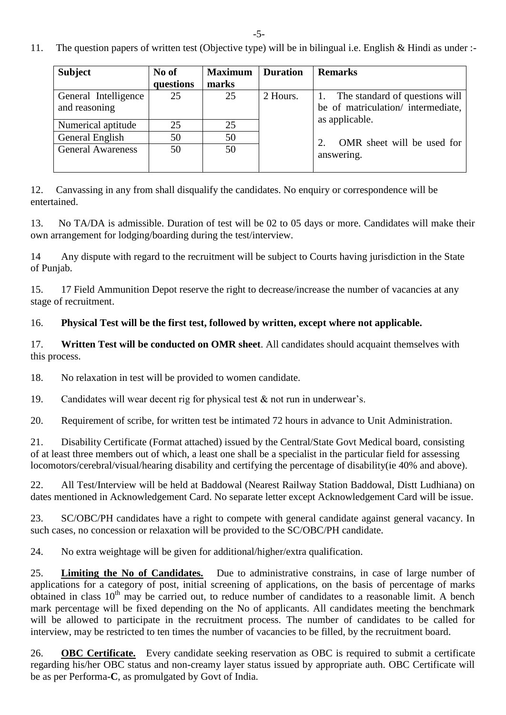-5-

11. The question papers of written test (Objective type) will be in bilingual i.e. English & Hindi as under :-

| <b>Subject</b>           | No of     | <b>Maximum</b> | <b>Duration</b> | <b>Remarks</b>                    |  |
|--------------------------|-----------|----------------|-----------------|-----------------------------------|--|
|                          | questions | marks          |                 |                                   |  |
| General Intelligence     | 25        | 25             | 2 Hours.        | The standard of questions will    |  |
| and reasoning            |           |                |                 | be of matriculation/intermediate, |  |
| Numerical aptitude       | 25        | 25             |                 | as applicable.                    |  |
| General English          | 50        | 50             |                 | OMR sheet will be used for        |  |
| <b>General Awareness</b> | 50        | 50             |                 | answering.                        |  |

12. Canvassing in any from shall disqualify the candidates. No enquiry or correspondence will be entertained.

13. No TA/DA is admissible. Duration of test will be 02 to 05 days or more. Candidates will make their own arrangement for lodging/boarding during the test/interview.

14 Any dispute with regard to the recruitment will be subject to Courts having jurisdiction in the State of Punjab.

15. 17 Field Ammunition Depot reserve the right to decrease/increase the number of vacancies at any stage of recruitment.

# 16. **Physical Test will be the first test, followed by written, except where not applicable.**

17. **Written Test will be conducted on OMR sheet**. All candidates should acquaint themselves with this process.

18. No relaxation in test will be provided to women candidate.

19. Candidates will wear decent rig for physical test & not run in underwear's.

20. Requirement of scribe, for written test be intimated 72 hours in advance to Unit Administration.

21. Disability Certificate (Format attached) issued by the Central/State Govt Medical board, consisting of at least three members out of which, a least one shall be a specialist in the particular field for assessing locomotors/cerebral/visual/hearing disability and certifying the percentage of disability(ie 40% and above).

22. All Test/Interview will be held at Baddowal (Nearest Railway Station Baddowal, Distt Ludhiana) on dates mentioned in Acknowledgement Card. No separate letter except Acknowledgement Card will be issue.

23. SC/OBC/PH candidates have a right to compete with general candidate against general vacancy. In such cases, no concession or relaxation will be provided to the SC/OBC/PH candidate.

24. No extra weightage will be given for additional/higher/extra qualification.

25. **Limiting the No of Candidates.** Due to administrative constrains, in case of large number of applications for a category of post, initial screening of applications, on the basis of percentage of marks obtained in class  $10<sup>th</sup>$  may be carried out, to reduce number of candidates to a reasonable limit. A bench mark percentage will be fixed depending on the No of applicants. All candidates meeting the benchmark will be allowed to participate in the recruitment process. The number of candidates to be called for interview, may be restricted to ten times the number of vacancies to be filled, by the recruitment board.

26. **OBC Certificate.** Every candidate seeking reservation as OBC is required to submit a certificate regarding his/her OBC status and non-creamy layer status issued by appropriate auth. OBC Certificate will be as per Performa-**C**, as promulgated by Govt of India.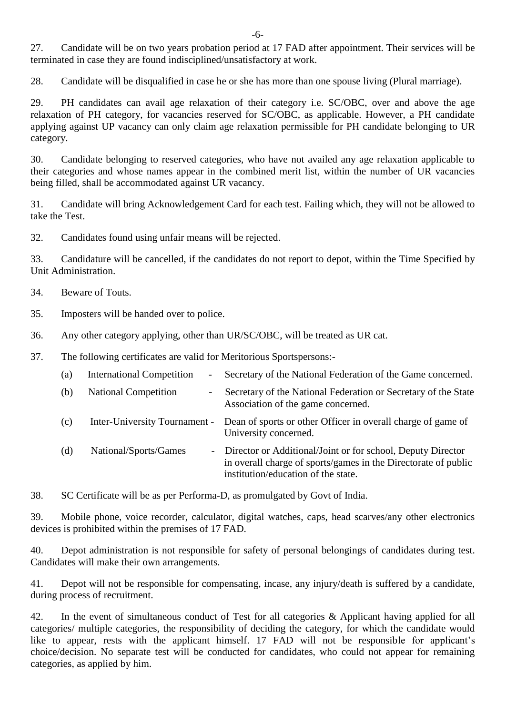27. Candidate will be on two years probation period at 17 FAD after appointment. Their services will be terminated in case they are found indisciplined/unsatisfactory at work. -

28. Candidate will be disqualified in case he or she has more than one spouse living (Plural marriage).

29. PH candidates can avail age relaxation of their category i.e. SC/OBC, over and above the age relaxation of PH category, for vacancies reserved for SC/OBC, as applicable. However, a PH candidate applying against UP vacancy can only claim age relaxation permissible for PH candidate belonging to UR category.

30. Candidate belonging to reserved categories, who have not availed any age relaxation applicable to their categories and whose names appear in the combined merit list, within the number of UR vacancies being filled, shall be accommodated against UR vacancy.

31. Candidate will bring Acknowledgement Card for each test. Failing which, they will not be allowed to take the Test.

32. Candidates found using unfair means will be rejected.

33. Candidature will be cancelled, if the candidates do not report to depot, within the Time Specified by Unit Administration.

- 34. Beware of Touts.
- 35. Imposters will be handed over to police.
- 36. Any other category applying, other than UR/SC/OBC, will be treated as UR cat.
- 37. The following certificates are valid for Meritorious Sportspersons:-

| (a) | <b>International Competition</b><br>$\overline{\phantom{0}}$ | Secretary of the National Federation of the Game concerned.                                                                                                            |
|-----|--------------------------------------------------------------|------------------------------------------------------------------------------------------------------------------------------------------------------------------------|
| (b) | <b>National Competition</b><br>$\overline{\phantom{0}}$      | Secretary of the National Federation or Secretary of the State<br>Association of the game concerned.                                                                   |
| (c) |                                                              | Inter-University Tournament - Dean of sports or other Officer in overall charge of game of<br>University concerned.                                                    |
| (d) | National/Sports/Games                                        | - Director or Additional/Joint or for school, Deputy Director<br>in overall charge of sports/games in the Directorate of public<br>institution/education of the state. |

38. SC Certificate will be as per Performa-D, as promulgated by Govt of India.

39. Mobile phone, voice recorder, calculator, digital watches, caps, head scarves/any other electronics devices is prohibited within the premises of 17 FAD.

40. Depot administration is not responsible for safety of personal belongings of candidates during test. Candidates will make their own arrangements.

41. Depot will not be responsible for compensating, incase, any injury/death is suffered by a candidate, during process of recruitment.

42. In the event of simultaneous conduct of Test for all categories & Applicant having applied for all categories/ multiple categories, the responsibility of deciding the category, for which the candidate would like to appear, rests with the applicant himself. 17 FAD will not be responsible for applicant's choice/decision. No separate test will be conducted for candidates, who could not appear for remaining categories, as applied by him.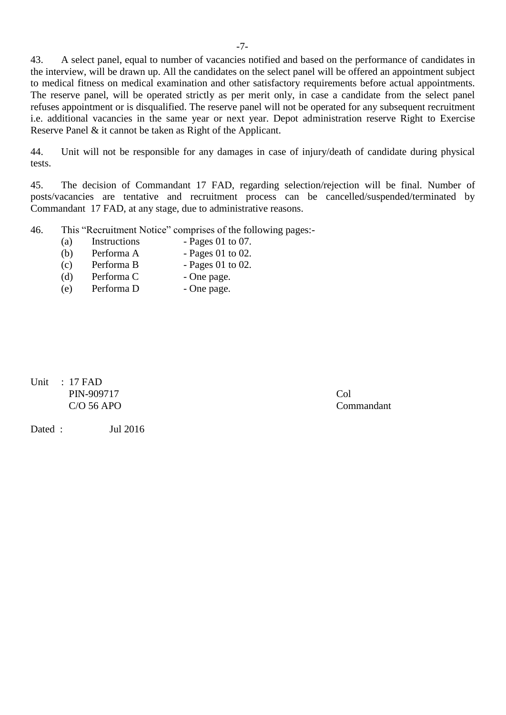43. A select panel, equal to number of vacancies notified and based on the performance of candidates in the interview, will be drawn up. All the candidates on the select panel will be offered an appointment subject to medical fitness on medical examination and other satisfactory requirements before actual appointments. The reserve panel, will be operated strictly as per merit only, in case a candidate from the select panel refuses appointment or is disqualified. The reserve panel will not be operated for any subsequent recruitment i.e. additional vacancies in the same year or next year. Depot administration reserve Right to Exercise Reserve Panel & it cannot be taken as Right of the Applicant.

44. Unit will not be responsible for any damages in case of injury/death of candidate during physical tests.

45. The decision of Commandant 17 FAD, regarding selection/rejection will be final. Number of posts/vacancies are tentative and recruitment process can be cancelled/suspended/terminated by Commandant 17 FAD, at any stage, due to administrative reasons.

46. This "Recruitment Notice" comprises of the following pages:-

- (a) Instructions Pages 01 to 07.
- (b) Performa A  $-$  Pages 01 to 02.
- (c) Performa B  $-$  Pages 01 to 02.
- (d) Performa C One page.<br>
(e) Performa D One page.
- (e) Performa D One page.

Unit : 17 FAD PIN-909717 Col C/O 56 APO Commandant

Dated : Jul 2016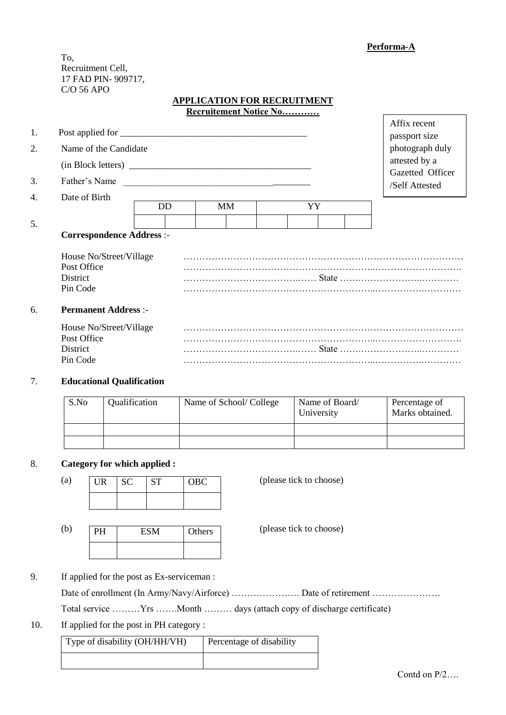**Performa-A**

To, Recruitment Cell, 17 FAD PIN- 909717, C/O 56 APO

#### **APPLICATION FOR RECRUITMENT Recruitement Notice No…………**

| 1.<br>2.<br>3. | Name of the Candidate<br>(in Block letters)<br>Father's Name   |           | <u> 1989 - John Stein, Amerikaansk politiker (</u> † 1920) |    | Affix recent<br>passport size<br>photograph duly<br>attested by a<br>Gazetted Officer<br>/Self Attested |
|----------------|----------------------------------------------------------------|-----------|------------------------------------------------------------|----|---------------------------------------------------------------------------------------------------------|
| 4.             | Date of Birth                                                  | <b>DD</b> | <b>MM</b>                                                  | YY |                                                                                                         |
| 5.             | <b>Correspondence Address :-</b>                               |           |                                                            |    |                                                                                                         |
|                | House No/Street/Village<br>Post Office<br>District<br>Pin Code |           |                                                            |    |                                                                                                         |
| 6.             | <b>Permanent Address:-</b>                                     |           |                                                            |    |                                                                                                         |
|                | House No/Street/Village<br>Post Office<br>District<br>Pin Code |           |                                                            |    |                                                                                                         |

#### 7. **Educational Qualification**

| S.No | Qualification | Name of School/College | Name of Board/<br>University | Percentage of<br>Marks obtained. |
|------|---------------|------------------------|------------------------------|----------------------------------|
|      |               |                        |                              |                                  |
|      |               |                        |                              |                                  |

#### 8. **Category for which applied :**

| (a) | UR | <b>SC</b> | <b>ST</b> |
|-----|----|-----------|-----------|
|     |    |           |           |

(please tick to choose)

(b) **PH** ESM Others (please tick to choose) Others

9. If applied for the post as Ex-serviceman :

Date of enrollment (In Army/Navy/Airforce) ……………………… Date of retirement ……………………

Total service ………Yrs …….Month ……… days (attach copy of discharge certificate)

10. If applied for the post in PH category :

Type of disability (OH/HH/VH) Percentage of disability

OBC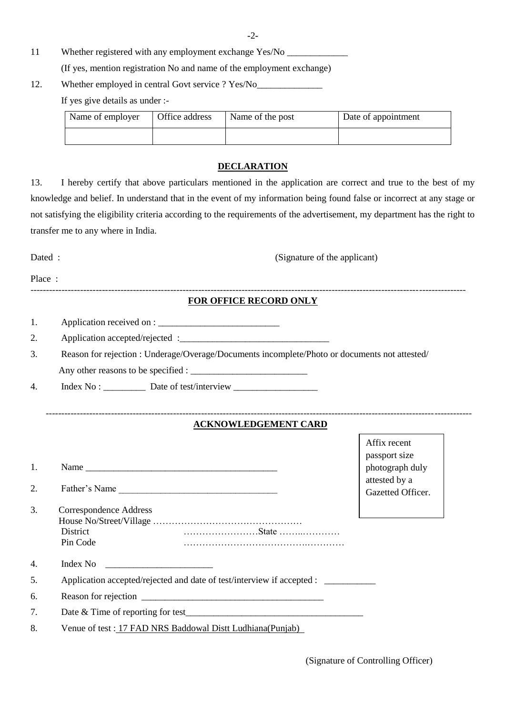**-**2**-**

- 11 Whether registered with any employment exchange Yes/No (If yes, mention registration No and name of the employment exchange)
- 12. Whether employed in central Govt service ? Yes/No

If yes give details as under :-

| Name of employer | Office address | Name of the post | Date of appointment |
|------------------|----------------|------------------|---------------------|
|                  |                |                  |                     |

#### **DECLARATION**

13. I hereby certify that above particulars mentioned in the application are correct and true to the best of my knowledge and belief. In understand that in the event of my information being found false or incorrect at any stage or not satisfying the eligibility criteria according to the requirements of the advertisement, my department has the right to transfer me to any where in India.

Dated : (Signature of the applicant)

Place :

#### -------------------------------------------------------------------------------------------------------------------------------------------- **FOR OFFICE RECORD ONLY**

| Application received on : |
|---------------------------|
|                           |

2. Application accepted/rejected :\_\_\_\_\_\_\_\_\_\_\_\_\_\_\_\_\_\_\_\_\_\_\_\_\_\_\_\_\_\_\_\_

3. Reason for rejection : Underage/Overage/Documents incomplete/Photo or documents not attested/

Any other reasons to be specified : \_\_\_\_\_\_\_\_\_\_\_\_\_\_\_\_\_\_\_\_\_\_\_\_\_

4. Index No : \_\_\_\_\_\_\_\_\_\_\_ Date of test/interview \_\_\_\_\_\_\_\_\_\_\_\_\_\_\_\_\_\_\_\_\_\_\_\_\_\_\_\_\_\_\_

## **ACKNOWLEDGEMENT CARD**

-----------------------------------------------------------------------------------------------------------------------------------------

| 1.<br>2.         | Father's Name                                                          | Affix recent<br>passport size<br>photograph duly<br>attested by a<br>Gazetted Officer. |
|------------------|------------------------------------------------------------------------|----------------------------------------------------------------------------------------|
| 3.               | Correspondence Address                                                 |                                                                                        |
|                  |                                                                        |                                                                                        |
|                  | <b>District</b>                                                        |                                                                                        |
|                  | Pin Code                                                               |                                                                                        |
| $\overline{4}$ . | Index No<br><u> 1990 - Johann Barn, mars ann an t-Amhain ann an t-</u> |                                                                                        |
| 5.               | Application accepted/rejected and date of test/interview if accepted : |                                                                                        |
| 6.               | Reason for rejection                                                   |                                                                                        |
| 7.               |                                                                        |                                                                                        |
| 8.               | Venue of test : 17 FAD NRS Baddowal Distt Ludhiana (Punjab)            |                                                                                        |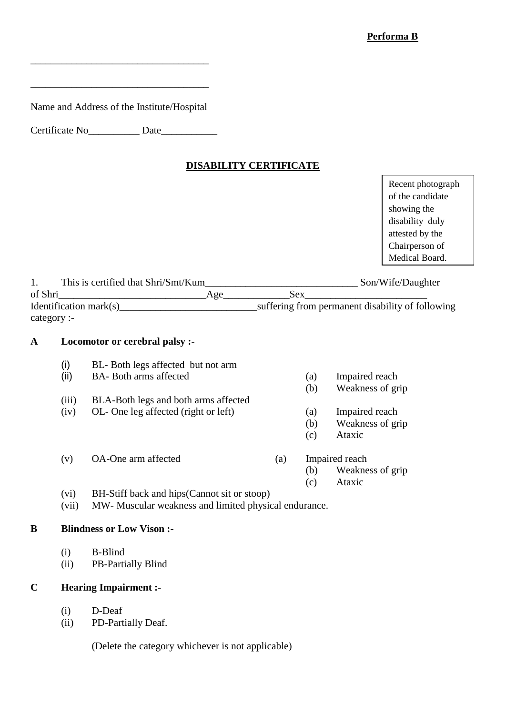Name and Address of the Institute/Hospital

\_\_\_\_\_\_\_\_\_\_\_\_\_\_\_\_\_\_\_\_\_\_\_\_\_\_\_\_\_\_\_\_\_\_\_

\_\_\_\_\_\_\_\_\_\_\_\_\_\_\_\_\_\_\_\_\_\_\_\_\_\_\_\_\_\_\_\_\_\_\_

Certificate No\_\_\_\_\_\_\_\_\_\_ Date\_\_\_\_\_\_\_\_\_\_\_

### **DISABILITY CERTIFICATE**

Recent photograph of the candidate showing the disability duly attested by the Chairperson of Medical Board.

| This is certified that Shri/Smt/Kum |     |     | Son/Wife/Daughter                                |
|-------------------------------------|-----|-----|--------------------------------------------------|
| of Shri                             | Age | Sex |                                                  |
| Identification mark $(s)$           |     |     | suffering from permanent disability of following |
| category :-                         |     |     |                                                  |

#### **A Locomotor or cerebral palsy :-**

- (i) BL- Both legs affected but not arm (ii) BA- Both arms affected (a) Impaired reach (b) Weakness of grip (iii) BLA-Both legs and both arms affected (iv) OL- One leg affected (right or left) (a) Impaired reach (b) Weakness of grip (c) Ataxic (v) OA-One arm affected (a) Impaired reach (b) Weakness of grip (c) Ataxic (vi) BH-Stiff back and hips(Cannot sit or stoop) (vii) MW- Muscular weakness and limited physical endurance. **B Blindness or Low Vison :-**
	- - (i) B-Blind
		- (ii) PB-Partially Blind

## **C Hearing Impairment :-**

- (i) D-Deaf
- (ii) PD-Partially Deaf.

(Delete the category whichever is not applicable)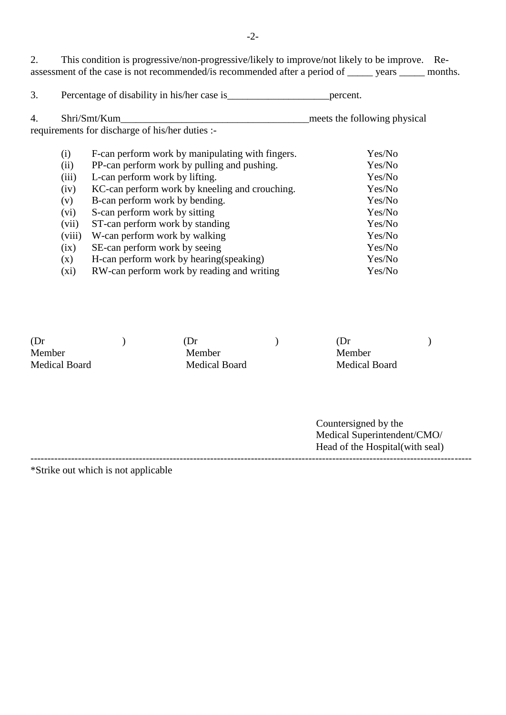2. This condition is progressive/non-progressive/likely to improve/not likely to be improve. Reassessment of the case is not recommended/is recommended after a period of \_\_\_\_\_ years \_\_\_\_\_ months.

3. Percentage of disability in his/her case is\_\_\_\_\_\_\_\_\_\_\_\_\_\_\_\_\_\_\_\_percent.

| Shri/Smt/Kum<br>4.<br>requirements for discharge of his/her duties :- |         |                                                  | meets the following physical |  |
|-----------------------------------------------------------------------|---------|--------------------------------------------------|------------------------------|--|
|                                                                       |         |                                                  |                              |  |
|                                                                       | (i)     | F-can perform work by manipulating with fingers. | Yes/No                       |  |
|                                                                       | (ii)    | PP-can perform work by pulling and pushing.      | Yes/No                       |  |
|                                                                       | (iii)   | L-can perform work by lifting.                   | Yes/No                       |  |
|                                                                       | (iv)    | KC-can perform work by kneeling and crouching.   | Yes/No                       |  |
|                                                                       | (v)     | B-can perform work by bending.                   | Yes/No                       |  |
|                                                                       | (vi)    | S-can perform work by sitting                    | Yes/No                       |  |
|                                                                       | (vii)   | ST-can perform work by standing                  | Yes/No                       |  |
|                                                                       | (viii)  | W-can perform work by walking                    | Yes/No                       |  |
|                                                                       | (ix)    | SE-can perform work by seeing                    | Yes/No                       |  |
|                                                                       | (x)     | H-can perform work by hearing (speaking)         | Yes/No                       |  |
|                                                                       | $(x_i)$ | RW-can perform work by reading and writing       | Yes/No                       |  |
|                                                                       |         |                                                  |                              |  |

| (Dr)          | .Dr           | (Dr)                 |  |
|---------------|---------------|----------------------|--|
| Member        | Member        | Member               |  |
| Medical Board | Medical Board | <b>Medical Board</b> |  |
|               |               |                      |  |
|               |               |                      |  |

----------------------------------------------------------------------------------------------------------------------------------

Countersigned by the Medical Superintendent/CMO/ Head of the Hospital(with seal)

\*Strike out which is not applicable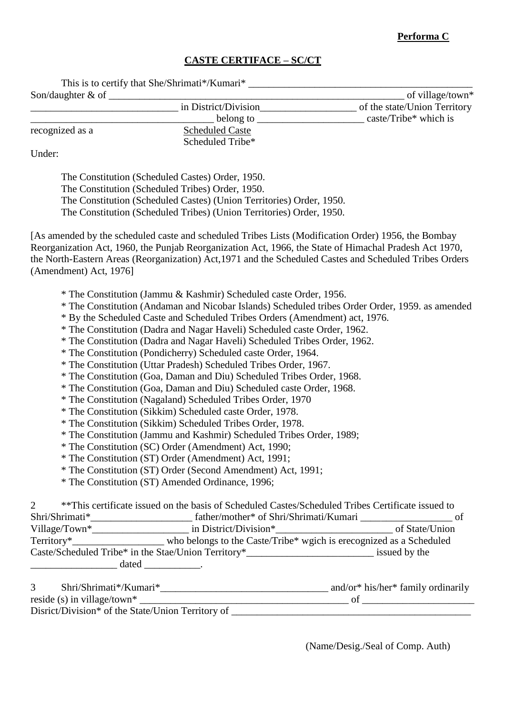# **Performa C**

# **CASTE CERTIFACE – SC/CT**

| This is to certify that She/Shrimati*/Kumari* |                  |
|-----------------------------------------------|------------------|
| Son/daughter $&$ of                           | of village/town* |

| Son/daughter $\&$ of |                        | of village/town*             |
|----------------------|------------------------|------------------------------|
|                      | in District/Division   | of the state/Union Territory |
|                      | belong to              | caste/Tribe* which is        |
| recognized as a      | <b>Scheduled Caste</b> |                              |
|                      | Scheduled Tribe*       |                              |

Under:

The Constitution (Scheduled Castes) Order, 1950. The Constitution (Scheduled Tribes) Order, 1950. The Constitution (Scheduled Castes) (Union Territories) Order, 1950. The Constitution (Scheduled Tribes) (Union Territories) Order, 1950.

[As amended by the scheduled caste and scheduled Tribes Lists (Modification Order) 1956, the Bombay Reorganization Act, 1960, the Punjab Reorganization Act, 1966, the State of Himachal Pradesh Act 1970, the North-Eastern Areas (Reorganization) Act,1971 and the Scheduled Castes and Scheduled Tribes Orders (Amendment) Act, 1976]

- \* The Constitution (Jammu & Kashmir) Scheduled caste Order, 1956.
- \* The Constitution (Andaman and Nicobar Islands) Scheduled tribes Order Order, 1959. as amended
- \* By the Scheduled Caste and Scheduled Tribes Orders (Amendment) act, 1976.
- \* The Constitution (Dadra and Nagar Haveli) Scheduled caste Order, 1962.
- \* The Constitution (Dadra and Nagar Haveli) Scheduled Tribes Order, 1962.
- \* The Constitution (Pondicherry) Scheduled caste Order, 1964.
- \* The Constitution (Uttar Pradesh) Scheduled Tribes Order, 1967.
- \* The Constitution (Goa, Daman and Diu) Scheduled Tribes Order, 1968.
- \* The Constitution (Goa, Daman and Diu) Scheduled caste Order, 1968.
- \* The Constitution (Nagaland) Scheduled Tribes Order, 1970
- \* The Constitution (Sikkim) Scheduled caste Order, 1978.
- \* The Constitution (Sikkim) Scheduled Tribes Order, 1978.
- \* The Constitution (Jammu and Kashmir) Scheduled Tribes Order, 1989;
- \* The Constitution (SC) Order (Amendment) Act, 1990;
- \* The Constitution (ST) Order (Amendment) Act, 1991;
- \* The Constitution (ST) Order (Second Amendment) Act, 1991;
- \* The Constitution (ST) Amended Ordinance, 1996;

|                  | **This certificate issued on the basis of Scheduled Castes/Scheduled Tribes Certificate issued to |                |
|------------------|---------------------------------------------------------------------------------------------------|----------------|
| Shri/Shrimati*   | father/mother* of Shri/Shrimati/Kumari                                                            |                |
| Village/Town $*$ | in District/Division*                                                                             | of State/Union |
|                  | who belongs to the Caste/Tribe* wgich is erecognized as a Scheduled                               |                |
|                  | Caste/Scheduled Tribe* in the Stae/Union Territory*_____________________________                  | issued by the  |
|                  | dated                                                                                             |                |

| Shri/Shrimati*/Kumari*                            | and/or* his/her* family ordinarily |
|---------------------------------------------------|------------------------------------|
| reside (s) in village/town*                       |                                    |
| Disrict/Division* of the State/Union Territory of |                                    |

(Name/Desig./Seal of Comp. Auth)